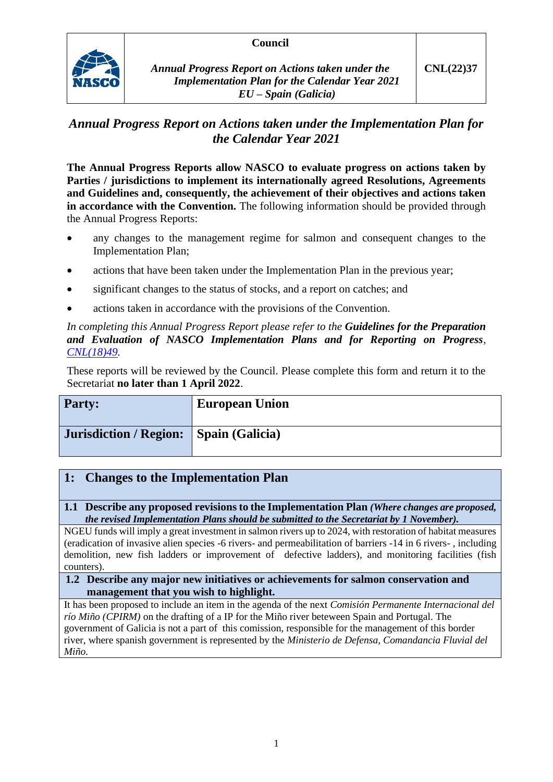### **Council**



*Annual Progress Report on Actions taken under the Implementation Plan for the Calendar Year 2021 EU – Spain (Galicia)*

# *Annual Progress Report on Actions taken under the Implementation Plan for the Calendar Year 2021*

**The Annual Progress Reports allow NASCO to evaluate progress on actions taken by Parties / jurisdictions to implement its internationally agreed Resolutions, Agreements and Guidelines and, consequently, the achievement of their objectives and actions taken in accordance with the Convention.** The following information should be provided through the Annual Progress Reports:

- any changes to the management regime for salmon and consequent changes to the Implementation Plan;
- actions that have been taken under the Implementation Plan in the previous year;
- significant changes to the status of stocks, and a report on catches; and
- actions taken in accordance with the provisions of the Convention.

*In completing this Annual Progress Report please refer to the Guidelines for the Preparation and Evaluation of NASCO Implementation Plans and for Reporting on Progress, [CNL\(18\)49.](https://nasco.int/wp-content/uploads/2020/02/CNL1849_Guidelines-for-the-Preparation-and-Evaluation-of-NASCO-Implementation-Plans-and-for-Reporting-on-Progress.pdf)*

These reports will be reviewed by the Council. Please complete this form and return it to the Secretariat **no later than 1 April 2022**.

| <b>Party:</b>                            | <b>European Union</b> |
|------------------------------------------|-----------------------|
| Jurisdiction / Region:   Spain (Galicia) |                       |

## **1: Changes to the Implementation Plan**

**1.1 Describe any proposed revisions to the Implementation Plan** *(Where changes are proposed, the revised Implementation Plans should be submitted to the Secretariat by 1 November).*

NGEU funds will imply a great investment in salmon rivers up to 2024, with restoration of habitat measures (eradication of invasive alien species -6 rivers- and permeabilitation of barriers -14 in 6 rivers- , including demolition, new fish ladders or improvement of defective ladders), and monitoring facilities (fish counters).

#### **1.2 Describe any major new initiatives or achievements for salmon conservation and management that you wish to highlight.**

It has been proposed to include an item in the agenda of the next *Comisión Permanente Internacional del río Miño (CPIRM)* on the drafting of a IP for the Miño river beteween Spain and Portugal. The government of Galicia is not a part of this comission, responsible for the management of this border river, where spanish government is represented by the *Ministerio de Defensa, Comandancia Fluvial del Miño*.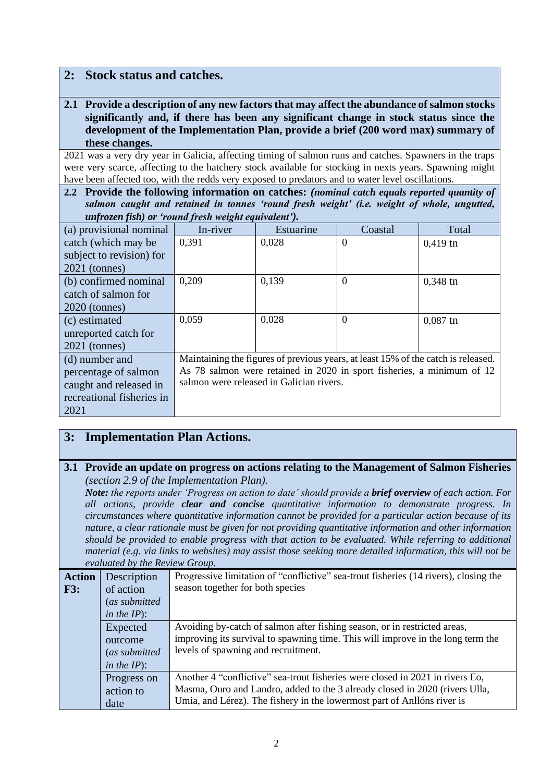### **2: Stock status and catches.**

**2.1 Provide a description of any new factors that may affect the abundance of salmon stocks significantly and, if there has been any significant change in stock status since the development of the Implementation Plan, provide a brief (200 word max) summary of these changes.**

2021 was a very dry year in Galicia, affecting timing of salmon runs and catches. Spawners in the traps were very scarce, affecting to the hatchery stock available for stocking in nexts years. Spawning might have been affected too, with the redds very exposed to predators and to water level oscillations.

**2.2 Provide the following information on catches:** *(nominal catch equals reported quantity of salmon caught and retained in tonnes 'round fresh weight' (i.e. weight of whole, ungutted, unfrozen fish) or 'round fresh weight equivalent').*

| (a) provisional nominal   | In-river                                                                          | Estuarine | Coastal  | Total      |
|---------------------------|-----------------------------------------------------------------------------------|-----------|----------|------------|
| catch (which may be       | 0.391                                                                             | 0,028     | $\Omega$ | $0,419$ tn |
| subject to revision) for  |                                                                                   |           |          |            |
| $2021$ (tonnes)           |                                                                                   |           |          |            |
| (b) confirmed nominal     | 0,209                                                                             | 0,139     | $\theta$ | $0,348$ tn |
| catch of salmon for       |                                                                                   |           |          |            |
| $2020$ (tonnes)           |                                                                                   |           |          |            |
| (c) estimated             | 0,059                                                                             | 0,028     | $\Omega$ | $0,087$ tn |
| unreported catch for      |                                                                                   |           |          |            |
| $2021$ (tonnes)           |                                                                                   |           |          |            |
| (d) number and            | Maintaining the figures of previous years, at least 15% of the catch is released. |           |          |            |
| percentage of salmon      | As 78 salmon were retained in 2020 in sport fisheries, a minimum of 12            |           |          |            |
| caught and released in    | salmon were released in Galician rivers.                                          |           |          |            |
| recreational fisheries in |                                                                                   |           |          |            |
| 2021                      |                                                                                   |           |          |            |

## **3: Implementation Plan Actions.**

#### **3.1 Provide an update on progress on actions relating to the Management of Salmon Fisheries**  *(section 2.9 of the Implementation Plan).*

*Note: the reports under 'Progress on action to date' should provide a brief overview of each action. For all actions, provide clear and concise quantitative information to demonstrate progress. In circumstances where quantitative information cannot be provided for a particular action because of its nature, a clear rationale must be given for not providing quantitative information and other information should be provided to enable progress with that action to be evaluated. While referring to additional material (e.g. via links to websites) may assist those seeking more detailed information, this will not be evaluated by the Review Group.*

|               | $\alpha$ and $\alpha$ is a set of $\alpha$ in the set of $\alpha$ is the set of $\alpha$ |                                                                                      |  |
|---------------|------------------------------------------------------------------------------------------|--------------------------------------------------------------------------------------|--|
| <b>Action</b> | Description                                                                              | Progressive limitation of "conflictive" sea-trout fisheries (14 rivers), closing the |  |
| F3:           | of action                                                                                | season together for both species                                                     |  |
|               | (as submitted)                                                                           |                                                                                      |  |
|               | in the $IP$ ):                                                                           |                                                                                      |  |
|               | Expected                                                                                 | Avoiding by-catch of salmon after fishing season, or in restricted areas,            |  |
|               | outcome                                                                                  | improving its survival to spawning time. This will improve in the long term the      |  |
| (as submitted |                                                                                          | levels of spawning and recruitment.                                                  |  |
|               | in the $IP$ ):                                                                           |                                                                                      |  |
|               | Progress on                                                                              | Another 4 "conflictive" sea-trout fisheries were closed in 2021 in rivers Eo,        |  |
|               | action to                                                                                | Masma, Ouro and Landro, added to the 3 already closed in 2020 (rivers Ulla,          |  |
|               | date                                                                                     | Umia, and Lérez). The fishery in the lowermost part of Anllóns river is              |  |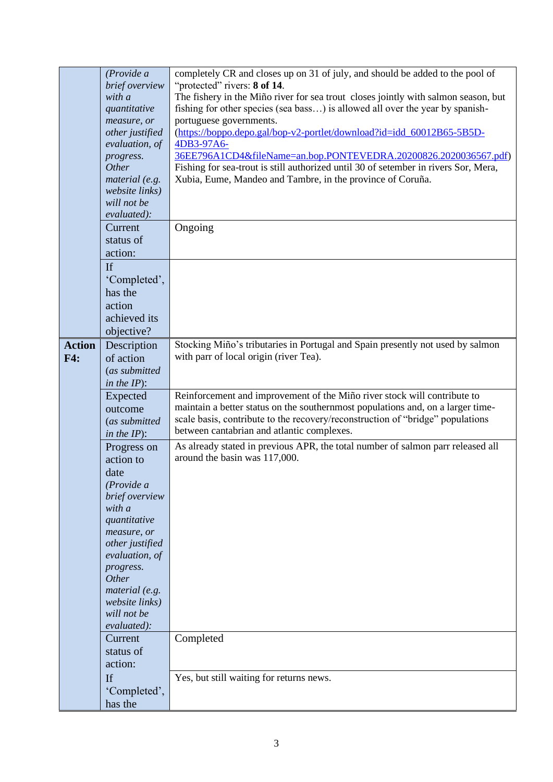|               | (Provide a      | completely CR and closes up on 31 of july, and should be added to the pool of       |
|---------------|-----------------|-------------------------------------------------------------------------------------|
|               |                 |                                                                                     |
|               | brief overview  | "protected" rivers: 8 of 14.                                                        |
|               | with a          | The fishery in the Miño river for sea trout closes jointly with salmon season, but  |
|               | quantitative    | fishing for other species (sea bass) is allowed all over the year by spanish-       |
|               | measure, or     | portuguese governments.                                                             |
|               | other justified | (https://boppo.depo.gal/bop-v2-portlet/download?id=idd_60012B65-5B5D-               |
|               | evaluation, of  | 4DB3-97A6-                                                                          |
|               | progress.       | 36EE796A1CD4&fileName=an.bop.PONTEVEDRA.20200826.2020036567.pdf)                    |
|               | Other           | Fishing for sea-trout is still authorized until 30 of setember in rivers Sor, Mera, |
|               | material (e.g.  | Xubia, Eume, Mandeo and Tambre, in the province of Coruña.                          |
|               | website links)  |                                                                                     |
|               | will not be     |                                                                                     |
|               | evaluated):     |                                                                                     |
|               | Current         |                                                                                     |
|               |                 | Ongoing                                                                             |
|               | status of       |                                                                                     |
|               | action:         |                                                                                     |
|               | If              |                                                                                     |
|               | 'Completed',    |                                                                                     |
|               | has the         |                                                                                     |
|               |                 |                                                                                     |
|               | action          |                                                                                     |
|               | achieved its    |                                                                                     |
|               | objective?      |                                                                                     |
| <b>Action</b> | Description     | Stocking Miño's tributaries in Portugal and Spain presently not used by salmon      |
| F4:           | of action       | with parr of local origin (river Tea).                                              |
|               | (as submitted   |                                                                                     |
|               |                 |                                                                                     |
|               | in the $IP$ ):  |                                                                                     |
|               | Expected        | Reinforcement and improvement of the Miño river stock will contribute to            |
|               | outcome         | maintain a better status on the southernmost populations and, on a larger time-     |
|               | (as submitted   | scale basis, contribute to the recovery/reconstruction of "bridge" populations      |
|               | in the $IP$ ):  | between cantabrian and atlantic complexes.                                          |
|               | Progress on     | As already stated in previous APR, the total number of salmon parr released all     |
|               | action to       | around the basin was 117,000.                                                       |
|               |                 |                                                                                     |
|               | date            |                                                                                     |
|               | (Provide a      |                                                                                     |
|               | brief overview  |                                                                                     |
|               | with a          |                                                                                     |
|               | quantitative    |                                                                                     |
|               | measure, or     |                                                                                     |
|               | other justified |                                                                                     |
|               | evaluation, of  |                                                                                     |
|               | progress.       |                                                                                     |
|               | Other           |                                                                                     |
|               | material (e.g.  |                                                                                     |
|               | website links)  |                                                                                     |
|               | will not be     |                                                                                     |
|               | evaluated):     |                                                                                     |
|               | Current         | Completed                                                                           |
|               | status of       |                                                                                     |
|               |                 |                                                                                     |
|               | action:         |                                                                                     |
|               |                 |                                                                                     |
|               | <b>If</b>       | Yes, but still waiting for returns news.                                            |
|               | 'Completed',    |                                                                                     |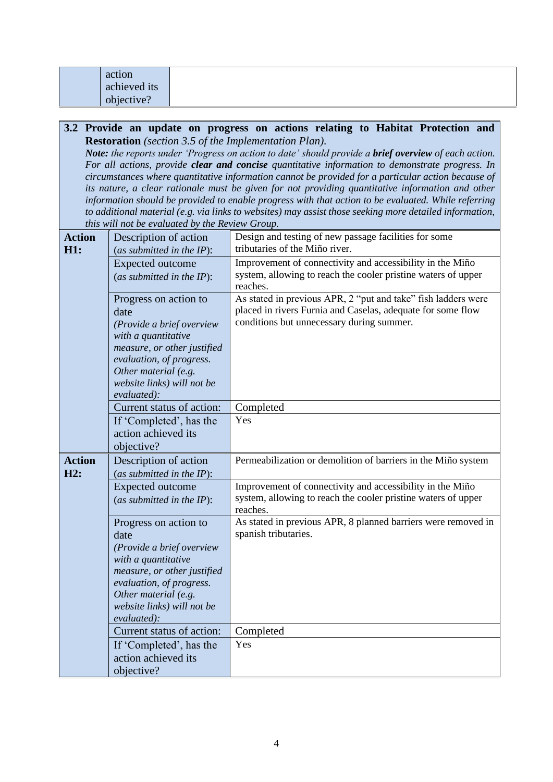| action       |  |
|--------------|--|
| achieved its |  |
| objective?   |  |

#### **3.2 Provide an update on progress on actions relating to Habitat Protection and Restoration** *(section 3.5 of the Implementation Plan).*

*Note: the reports under 'Progress on action to date' should provide a brief overview of each action. For all actions, provide clear and concise quantitative information to demonstrate progress. In circumstances where quantitative information cannot be provided for a particular action because of its nature, a clear rationale must be given for not providing quantitative information and other information should be provided to enable progress with that action to be evaluated. While referring to additional material (e.g. via links to websites) may assist those seeking more detailed information, this will not be evaluated by the Review Group.*

| <b>Action</b><br>H1: | Description of action<br>(as submitted in the $IP$ ):                                                                                                                                                             | Design and testing of new passage facilities for some<br>tributaries of the Miño river.                                                                                   |
|----------------------|-------------------------------------------------------------------------------------------------------------------------------------------------------------------------------------------------------------------|---------------------------------------------------------------------------------------------------------------------------------------------------------------------------|
|                      | <b>Expected outcome</b>                                                                                                                                                                                           | Improvement of connectivity and accessibility in the Miño                                                                                                                 |
|                      | (as submitted in the $IP$ ):                                                                                                                                                                                      | system, allowing to reach the cooler pristine waters of upper<br>reaches.                                                                                                 |
|                      | Progress on action to<br>date<br>(Provide a brief overview<br>with a quantitative<br>measure, or other justified<br>evaluation, of progress.<br>Other material (e.g.<br>website links) will not be<br>evaluated): | As stated in previous APR, 2 "put and take" fish ladders were<br>placed in rivers Furnia and Caselas, adequate for some flow<br>conditions but unnecessary during summer. |
|                      | Current status of action:                                                                                                                                                                                         | Completed                                                                                                                                                                 |
|                      | If 'Completed', has the                                                                                                                                                                                           | Yes                                                                                                                                                                       |
|                      | action achieved its<br>objective?                                                                                                                                                                                 |                                                                                                                                                                           |
|                      |                                                                                                                                                                                                                   |                                                                                                                                                                           |
| <b>Action</b><br>H2: | Description of action<br>(as submitted in the $IP$ ):                                                                                                                                                             | Permeabilization or demolition of barriers in the Miño system                                                                                                             |
|                      | <b>Expected outcome</b><br>(as submitted in the $IP$ ):                                                                                                                                                           | Improvement of connectivity and accessibility in the Miño<br>system, allowing to reach the cooler pristine waters of upper<br>reaches.                                    |
|                      | Progress on action to<br>date                                                                                                                                                                                     | As stated in previous APR, 8 planned barriers were removed in<br>spanish tributaries.                                                                                     |
|                      | (Provide a brief overview<br>with a quantitative<br>measure, or other justified<br>evaluation, of progress.<br>Other material (e.g.<br>website links) will not be<br>evaluated):                                  |                                                                                                                                                                           |
|                      | Current status of action:                                                                                                                                                                                         | Completed                                                                                                                                                                 |
|                      | If 'Completed', has the<br>action achieved its                                                                                                                                                                    | Yes                                                                                                                                                                       |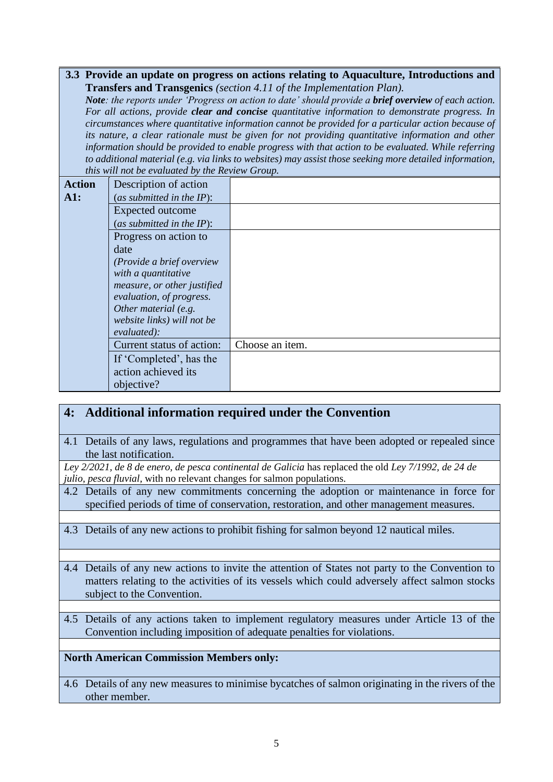**3.3 Provide an update on progress on actions relating to Aquaculture, Introductions and Transfers and Transgenics** *(section 4.11 of the Implementation Plan).*

*Note*: the reports under 'Progress on action to date' should provide a **brief overview** of each action. *For all actions, provide clear and concise quantitative information to demonstrate progress. In circumstances where quantitative information cannot be provided for a particular action because of its nature, a clear rationale must be given for not providing quantitative information and other information should be provided to enable progress with that action to be evaluated. While referring to additional material (e.g. via links to websites) may assist those seeking more detailed information, this will not be evaluated by the Review Group.*

| <b>Action</b> | Description of action        |                 |
|---------------|------------------------------|-----------------|
| A1:           | (as submitted in the IP):    |                 |
|               | Expected outcome             |                 |
|               | (as submitted in the $IP$ ): |                 |
|               | Progress on action to        |                 |
|               | date                         |                 |
|               | (Provide a brief overview    |                 |
|               | with a quantitative          |                 |
|               | measure, or other justified  |                 |
|               | evaluation, of progress.     |                 |
|               | Other material (e.g.         |                 |
|               | website links) will not be   |                 |
|               | evaluated):                  |                 |
|               | Current status of action:    | Choose an item. |
|               | If 'Completed', has the      |                 |
|               | action achieved its          |                 |
|               | objective?                   |                 |

## **4: Additional information required under the Convention**

4.1 Details of any laws, regulations and programmes that have been adopted or repealed since the last notification.

*Ley 2/2021, de 8 de enero, de pesca continental de Galicia* has replaced the old *Ley 7/1992, de 24 de julio, pesca fluvial,* with no relevant changes for salmon populations.

- 4.2 Details of any new commitments concerning the adoption or maintenance in force for specified periods of time of conservation, restoration, and other management measures.
- 4.3 Details of any new actions to prohibit fishing for salmon beyond 12 nautical miles.
- 4.4 Details of any new actions to invite the attention of States not party to the Convention to matters relating to the activities of its vessels which could adversely affect salmon stocks subject to the Convention.
- 4.5 Details of any actions taken to implement regulatory measures under Article 13 of the Convention including imposition of adequate penalties for violations.

### **North American Commission Members only:**

4.6 Details of any new measures to minimise bycatches of salmon originating in the rivers of the other member.